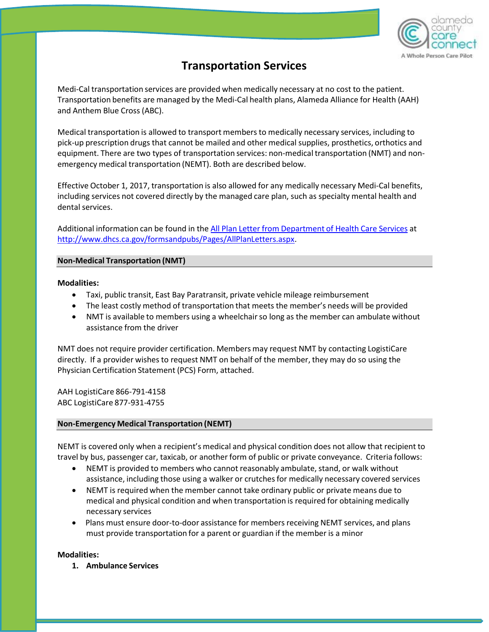

## **Transportation Services**

Medi-Cal transportation services are provided when medically necessary at no cost to the patient. Transportation benefits are managed by the Medi‐Cal health plans, Alameda Alliance for Health (AAH) and Anthem Blue Cross (ABC).

Medical transportation is allowed to transport membersto medically necessary services, including to pick-up prescription drugs that cannot be mailed and other medical supplies, prosthetics, orthotics and equipment. There are two types of transportation services: non-medical transportation (NMT) and nonemergency medical transportation (NEMT). Both are described below.

Effective October 1, 2017, transportation is also allowed for any medically necessary Medi‐Cal benefits, including services not covered directly by the managed care plan, such as specialty mental health and dental services.

Additional information can be found in the All Plan Letter from Department of Health Care Services at [http://www.dhcs.ca.gov/formsandpubs/Pages/AllPlanLetters.aspx.](http://www.dhcs.ca.gov/formsandpubs/Pages/AllPlanLetters.aspx)

### **Non‐Medical Transportation (NMT)**

### **Modalities:**

- Taxi, public transit, East Bay Paratransit, private vehicle mileage reimbursement
- The least costly method of transportation that meets the member's needs will be provided
- NMT is available to members using a wheelchairso long as the member can ambulate without assistance from the driver

NMT does not require provider certification. Members may request NMT by contacting LogistiCare directly. If a provider wishes to request NMT on behalf of the member, they may do so using the Physician Certification Statement (PCS) Form, attached.

AAH LogistiCare 866‐791‐4158 ABC LogistiCare 877‐931‐4755

### **Non‐Emergency Medical Transportation (NEMT)**

NEMT is covered only when a recipient's medical and physical condition does not allow that recipient to travel by bus, passenger car, taxicab, or another form of public or private conveyance. Criteria follows:

- NEMT is provided to members who cannot reasonably ambulate, stand, or walk without assistance, including those using a walker or crutches for medically necessary covered services
- NEMT is required when the member cannot take ordinary public or private means due to medical and physical condition and when transportation is required for obtaining medically necessary services
- Plans must ensure door-to-door assistance for members receiving NEMT services, and plans must provide transportation for a parent or guardian if the member is a minor

### **Modalities:**

**1. Ambulance Services**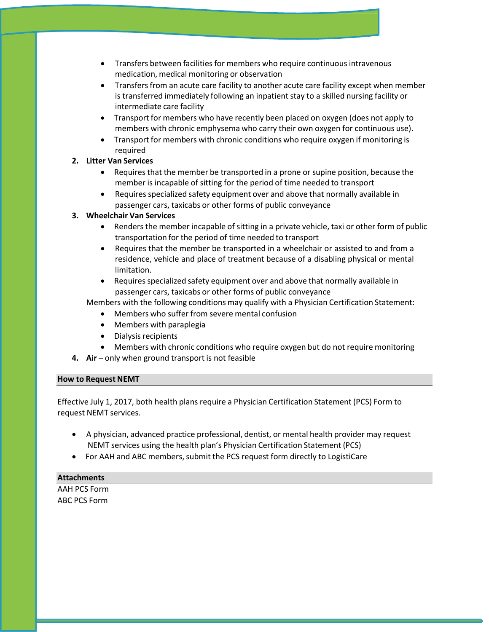- Transfers between facilitiesfor members who require continuous intravenous medication, medical monitoring or observation
- Transfers from an acute care facility to another acute care facility except when member is transferred immediately following an inpatient stay to a skilled nursing facility or intermediate care facility
- Transport for members who have recently been placed on oxygen (does not apply to members with chronic emphysema who carry their own oxygen for continuous use).
- Transport for members with chronic conditions who require oxygen if monitoring is required

### **2. Litter Van Services**

- Requires that the member be transported in a prone or supine position, because the member is incapable of sitting for the period of time needed to transport
- Requires specialized safety equipment over and above that normally available in passenger cars, taxicabs or other forms of public conveyance

### **3. Wheelchair Van Services**

- Renders the member incapable of sitting in a private vehicle, taxi or other form of public transportation for the period of time needed to transport
- Requires that the member be transported in a wheelchair or assisted to and from a residence, vehicle and place of treatment because of a disabling physical or mental limitation.
- Requires specialized safety equipment over and above that normally available in passenger cars, taxicabs or other forms of public conveyance

Members with the following conditions may qualify with a Physician Certification Statement:

- Members who suffer from severe mental confusion
- Members with paraplegia
- Dialysis recipients
- Members with chronic conditions who require oxygen but do not require monitoring
- **4. Air** only when ground transport is not feasible

### **How to Request NEMT**

Effective July 1, 2017, both health plans require a Physician Certification Statement (PCS) Form to request NEMT services.

- A physician, advanced practice professional, dentist, or mental health provider may request NEMT services using the health plan's Physician Certification Statement (PCS)
- For AAH and ABC members, submit the PCS request form directly to LogistiCare

### **Attachments**

AAH PCS Form ABC PCS Form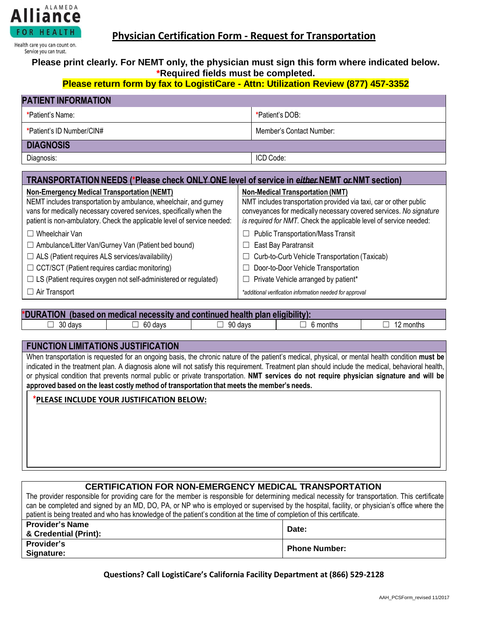

Service you can trust.

### **Physician Certification Form - Request for Transportation**

### **Please print clearly. For NEMT only, the physician must sign this form where indicated below. \*Required fields must be completed.**

### **Please return form by fax to LogistiCare - Attn: Utilization Review (877) 457-3352**

| PATIENT INFORMATION                                                                                                                                                                                                                                                                                         |                                                                                                                                                                                                                                                               |  |  |  |  |
|-------------------------------------------------------------------------------------------------------------------------------------------------------------------------------------------------------------------------------------------------------------------------------------------------------------|---------------------------------------------------------------------------------------------------------------------------------------------------------------------------------------------------------------------------------------------------------------|--|--|--|--|
| *Patient's Name:                                                                                                                                                                                                                                                                                            | *Patient's DOB:                                                                                                                                                                                                                                               |  |  |  |  |
| *Patient's ID Number/CIN#                                                                                                                                                                                                                                                                                   | Member's Contact Number:                                                                                                                                                                                                                                      |  |  |  |  |
| <b>DIAGNOSIS</b>                                                                                                                                                                                                                                                                                            |                                                                                                                                                                                                                                                               |  |  |  |  |
| Diagnosis:                                                                                                                                                                                                                                                                                                  | ICD Code:                                                                                                                                                                                                                                                     |  |  |  |  |
| TRANSPORTATION NEEDS (*Please check ONLY ONE level of service in either NEMT or NMT section)                                                                                                                                                                                                                |                                                                                                                                                                                                                                                               |  |  |  |  |
| <b>Non-Emergency Medical Transportation (NEMT)</b><br>NEMT includes transportation by ambulance, wheelchair, and gurney<br>vans for medically necessary covered services, specifically when the<br>patient is non-ambulatory. Check the applicable level of service needed:                                 | <b>Non-Medical Transportation (NMT)</b><br>NMT includes transportation provided via taxi, car or other public<br>conveyances for medically necessary covered services. No signature<br>is required for NMT. Check the applicable level of service needed:     |  |  |  |  |
| Wheelchair Van<br>$\Box$<br>$\Box$ Ambulance/Litter Van/Gurney Van (Patient bed bound)<br>$\Box$ ALS (Patient requires ALS services/availability)<br>$\Box$ CCT/SCT (Patient requires cardiac monitoring)<br>$\Box$ LS (Patient requires oxygen not self-administered or regulated)<br>$\Box$ Air Transport | <b>Public Transportation/Mass Transit</b><br>East Bay Paratransit<br>Curb-to-Curb Vehicle Transportation (Taxicab)<br>Door-to-Door Vehicle Transportation<br>Private Vehicle arranged by patient*<br>*additional verification information needed for approval |  |  |  |  |

| *DURATION (based on medical necessity and continued health plan eligibility): |                |         |                 |           |  |  |
|-------------------------------------------------------------------------------|----------------|---------|-----------------|-----------|--|--|
| 30 days                                                                       | $\Box$ 60 days | 90 days | $\Box$ 6 months | 12 months |  |  |

### **FUNCTION LIMITATIONS JUSTIFICATION**

When transportation is requested for an ongoing basis, the chronic nature of the patient's medical, physical, or mental health condition **must be**  indicated in the treatment plan. A diagnosis alone will not satisfy this requirement. Treatment plan should include the medical, behavioral health, or physical condition that prevents normal public or private transportation. **NMT services do not require physician signature and will be approved based on the least costly method of transportation that meets the member's needs.**

**\*PLEASE INCLUDE YOUR JUSTIFICATION BELOW:**

### **CERTIFICATION FOR NON-EMERGENCY MEDICAL TRANSPORTATION**

The provider responsible for providing care for the member is responsible for determining medical necessity for transportation. This certificate can be completed and signed by an MD, DO, PA, or NP who is employed or supervised by the hospital, facility, or physician's office where the patient is being treated and who has knowledge of the patient's condition at the time of completion of this certificate.

| <b>Provider's Name</b><br>& Credential (Print): | Date:                |
|-------------------------------------------------|----------------------|
| <b>Provider's</b><br>Signature:                 | <b>Phone Number:</b> |

### **Questions? Call LogistiCare's California Facility Department at (866) 529-2128**